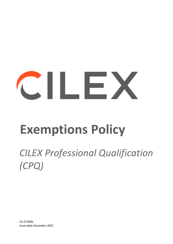# CILEX

## **Exemptions Policy**

### *CILEX Professional Qualification (CPQ)*

*V1.0 FINAL Issue date December 2021*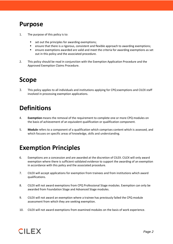#### **Purpose**

- 1. The purpose of this policy is to:
	- set out the principles for awarding exemptions;
	- **•** ensure that there is a rigorous, consistent and flexible approach to awarding exemptions;
	- **EXECT** ensure exemptions awarded are valid and meet the criteria for awarding exemptions as set out in this policy and the associated procedure.
- 2. This policy should be read in conjunction with the Exemption Application Procedure and the Approved Exemption Claims Procedure.

#### **Scope**

3. This policy applies to all individuals and institutions applying for CPQ exemptions and CILEX staff involved in processing exemption applications.

#### **Definitions**

- 4. **Exemption** means the removal of the requirement to complete one or more CPQ modules on the basis of achievement of an equivalent qualification or qualification component.
- 5. **Module** refers to a component of a qualification which comprises content which is assessed, and which focuses on specific areas of knowledge, skills and understanding.

#### **Exemption Principles**

- 6. Exemptions are a concession and are awarded at the discretion of CILEX. CILEX will only award exemption where there is sufficient validated evidence to support the awarding of an exemption in accordance with this policy and the associated procedure.
- 7. CILEX will accept applications for exemption from trainees and from institutions which award qualifications.
- 8. CILEX will not award exemptions from CPQ Professional Stage modules. Exemption can only be awarded from Foundation Stage and Advanced Stage modules.
- 9. CILEX will not award an exemption where a trainee has previously failed the CPQ module assessment from which they are seeking exemption.
- 10. CILEX will not award exemptions from examined modules on the basis of work experience.

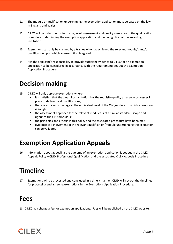- 11. The module or qualification underpinning the exemption application must be based on the law in England and Wales.
- 12. CILEX will consider the content, size, level, assessment and quality assurance of the qualification or module underpinning the exemption application and the recognition of the awarding institution.
- 13. Exemptions can only be claimed by a trainee who has achieved the relevant module/s and/or qualification upon which an exemption is agreed.
- 14. It is the applicant's responsibility to provide sufficient evidence to CILEX for an exemption application to be considered in accordance with the requirements set out the Exemption Application Procedure.

#### **Decision making**

- 15. CILEX will only approve exemptions where:
	- it is satisfied that the awarding institution has the requisite quality assurance processes in place to deliver valid qualifications;
	- there is sufficient coverage at the equivalent level of the CPQ module for which exemption is sought;
	- the assessment approach for the relevant modules is of a similar standard, scope and rigour to the CPQ module/s;
	- the principles and criteria in this policy and the associated procedure have been met;
	- evidence of achievement of the relevant qualification/module underpinning the exemption can be validated.

#### **Exemption Application Appeals**

16. Information about appealing the outcome of an exemption application is set out in the CILEX Appeals Policy – CILEX Professional Qualification and the associated CILEX Appeals Procedure.

#### **Timeline**

17. Exemptions will be processed and concluded in a timely manner. CILEX will set out the timelines for processing and agreeing exemptions in the Exemptions Application Procedure.

#### **Fees**

18. CILEX may charge a fee for exemption applications. Fees will be published on the CILEX website.